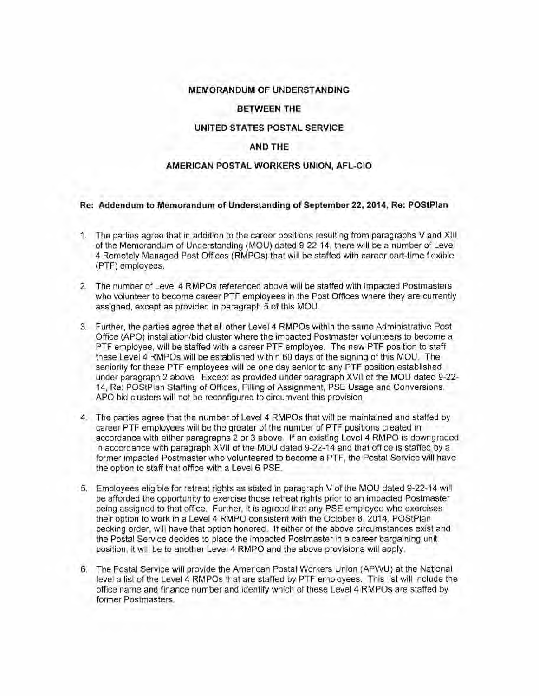# **MEMORANDUM OF UNDERSTANDING**

## **BETWEEN THE**

## **UNITED STATES POSTAL SERVICE**

# **AND THE**

## **AMERICAN POSTAL WORKERS UNION, AFL-CIO**

#### **Re: Addendum to Memorandum of Understanding of September** 22, **2014, Re: POStPian**

- 1. The parties agree that in addition to the career positions resulting from paragraphs V and XIII of the Memorandum of Understanding (MOU) dated 9-22-14, there will be a number of Level 4 Remotely Managed Post Offices (RMPOs) that will be staffed with career part-time flex.ible (PTF) employees.
- 2. The number of Level 4 RMPOs referenced above will be staffed with impacted Postmasters who volunteer to become career PTF employees in the Post Offices where they are currently assigned, except as provided in paragraph 5 of this MOU.
- 3. Further, the parties agree that all other Level4 RMPOs within the same Administrative Post Office (APO) installation/bid cluster where the impacted Postmaster volunteers to become a PTF employee, will be staffed with a career PTF employee. The new PTF position to staff these Level 4 RMPOs will be established within 60 days of the signing of this MOU. The seniority for these PTF employees will be one day senior to any PTF position established under paragraph 2 above. Except as provided under paragraph XVII of the MOU dated 9-22- 14, Re: POStPian Staffing of Offices, Filling of Assignment, PSE Usage and Conversions, APO bid clusters will not be reconfigured to circumvent this provision.
- 4. The parties agree that the number of Level 4 RMPOs that will be maintained and staffed by career PTF employees will be the greater of the number of PTF positions created in accordance with either paragraphs 2 or 3 above. If an existing Level 4 RMPO is downgraded in accordance with paragraph XVII of the MOU dated 9-22-14 and that office is staffed by a former impacted Postmaster who volunteered to become a PTF, the Postal Service will have the option to staff that office with a Level 6 PSE.
- 5. Employees eligible for retreat rights as stated in paragraph V of the MOU dated 9-22-14 will be afforded the opportunity to exercise those retreat rights prior to an impacted Postmaster being assigned to that office. Further, it is agreed that any PSE employee who exercises their option to work in a Level 4 RMPO consistent with the October 8, 2014, POStPian pecking order, will have that option honored. If either of the above circumstances exist and the Postal Service decides to place the impacted Postmaster in a career bargaining unit position, it will be to another Level 4 RMPO and the above provisions will apply.
- 6. The Postal Service will provide the American Postal Workers Union (APWU) at the National level a list of the Level 4 RMPOs that are staffed by PTF employees. This list will include the office name and finance number and identify which of these Level 4 RMPOs are staffed by former Postmasters.